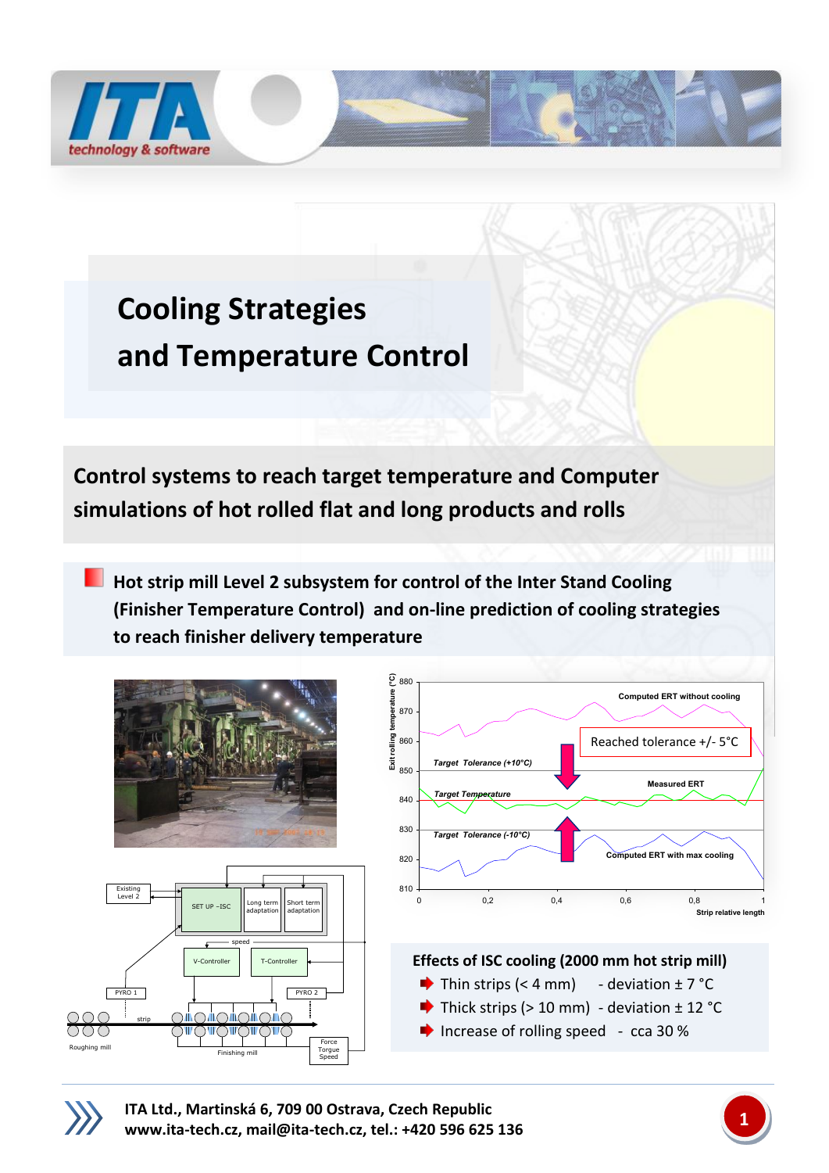

## **Cooling Strategies and Temperature Control**

**Control systems to reach target temperature and Computer simulations of hot rolled flat and long products and rolls**

**Hot strip mill Level 2 subsystem for control of the Inter Stand Cooling (Finisher Temperature Control) and on-line prediction of cooling strategies to reach finisher delivery temperature**





**ITA Ltd., Martinská 6, 709 00 Ostrava, Czech Republic [www.ita-tech.cz,](http://www.ita-tech.cz/) [mail@ita-tech.cz,](mailto:mail@ita-tech.cz) tel.: +420 <sup>596</sup> 625 136 1**

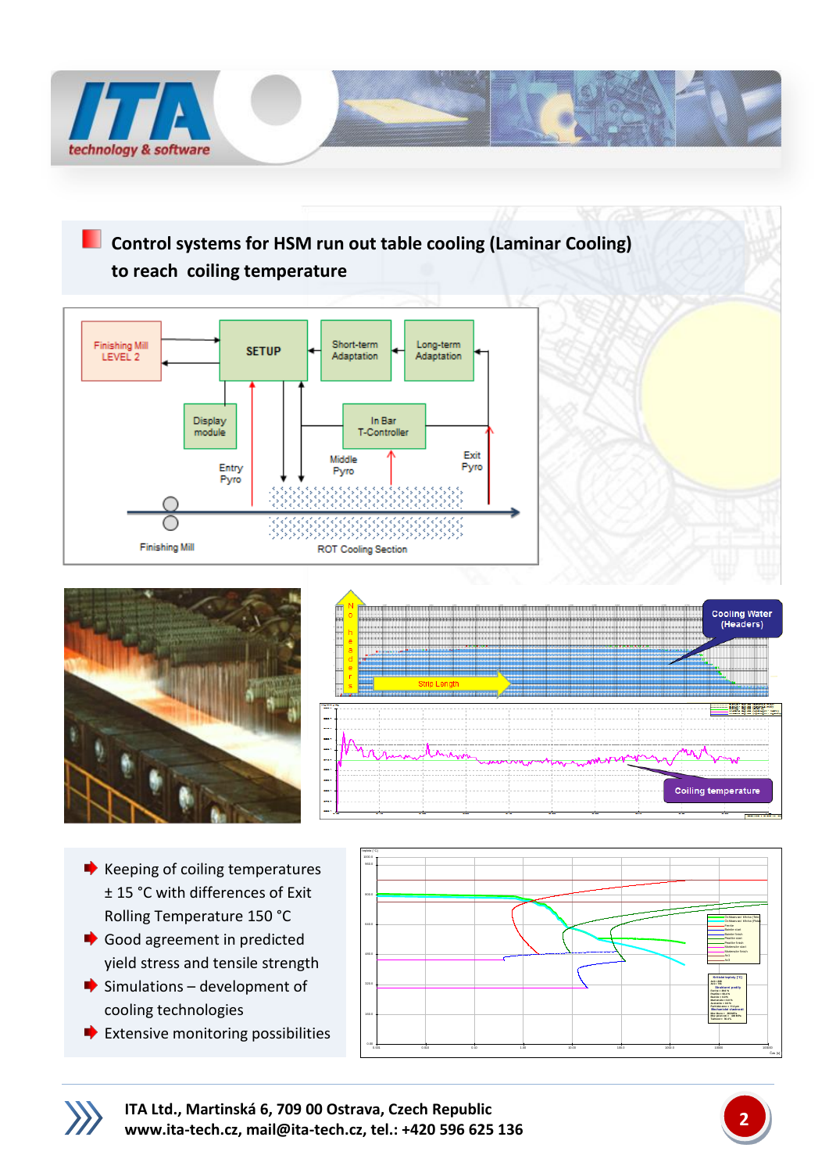

**Control systems for HSM run out table cooling (Laminar Cooling) to reach coiling temperature**







- $\blacktriangleright$  Keeping of coiling temperatures ± 15 °C with differences of Exit Rolling Temperature 150 °C
- Good agreement in predicted yield stress and tensile strength
- $\blacktriangleright$  Simulations development of cooling technologies
- $\blacktriangleright$  Extensive monitoring possibilities





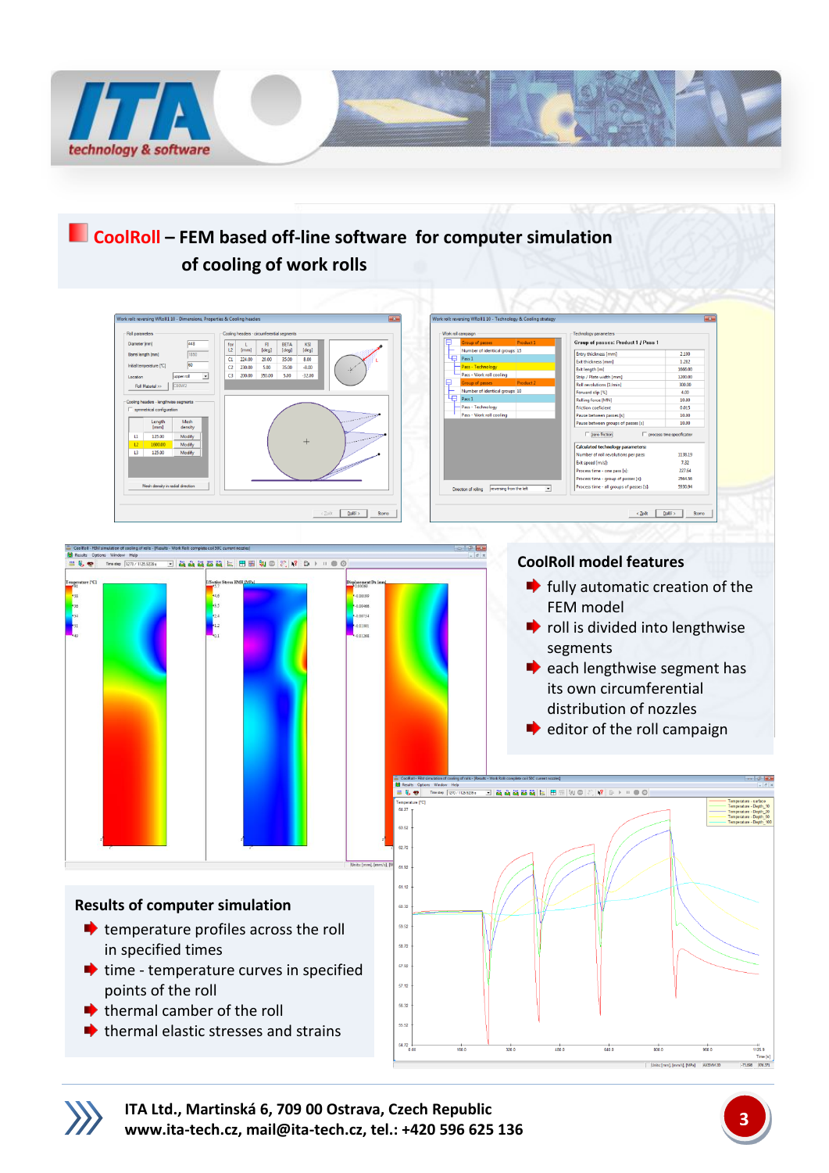

## **CoolRoll – FEM based off-line software for computer simulation of cooling of work rolls**



**ITA Ltd., Martinská 6, 709 00 Ostrava, Czech Republic [www.ita-tech.cz,](http://www.ita-tech.cz/) [mail@ita-tech.cz,](mailto:mail@ita-tech.cz) tel.: +420 <sup>596</sup> 625 136 3**